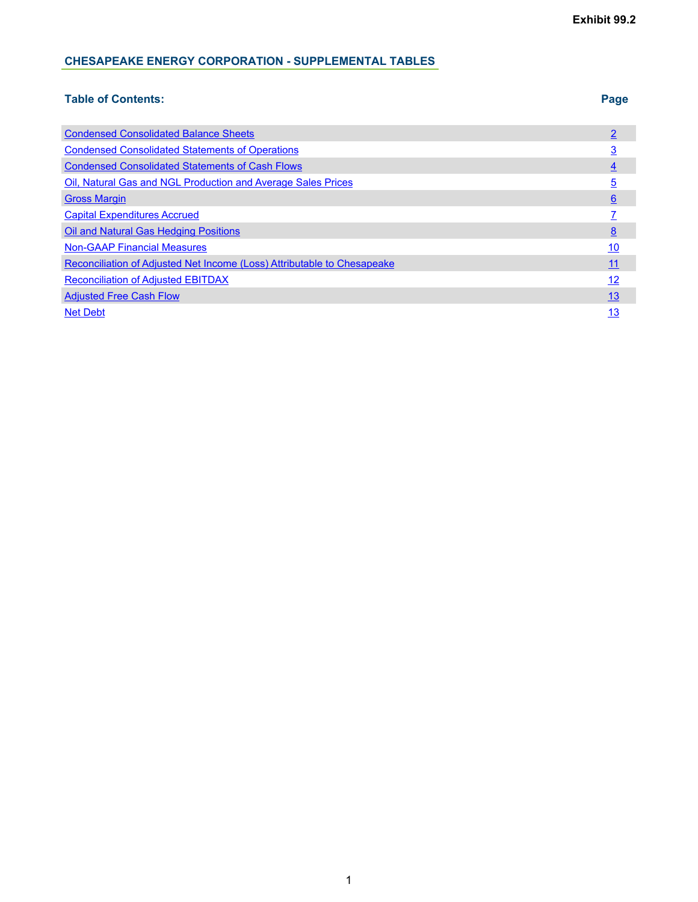#### **CHESAPEAKE ENERGY CORPORATION - SUPPLEMENTAL TABLES**

#### **Table of Contents: Page**

| <b>Condensed Consolidated Balance Sheets</b>                            |                 |
|-------------------------------------------------------------------------|-----------------|
| <b>Condensed Consolidated Statements of Operations</b>                  | <u>3</u>        |
| <b>Condensed Consolidated Statements of Cash Flows</b>                  | $\overline{4}$  |
| Oil, Natural Gas and NGL Production and Average Sales Prices            | <u>5</u>        |
| <b>Gross Margin</b>                                                     | $6\overline{6}$ |
| <b>Capital Expenditures Accrued</b>                                     |                 |
| <b>Oil and Natural Gas Hedging Positions</b>                            | 8               |
| <b>Non-GAAP Financial Measures</b>                                      | 10              |
| Reconciliation of Adjusted Net Income (Loss) Attributable to Chesapeake | 11              |
| <b>Reconciliation of Adjusted EBITDAX</b>                               | 12              |
| <b>Adjusted Free Cash Flow</b>                                          | 13              |
| <b>Net Debt</b>                                                         | 13              |
|                                                                         |                 |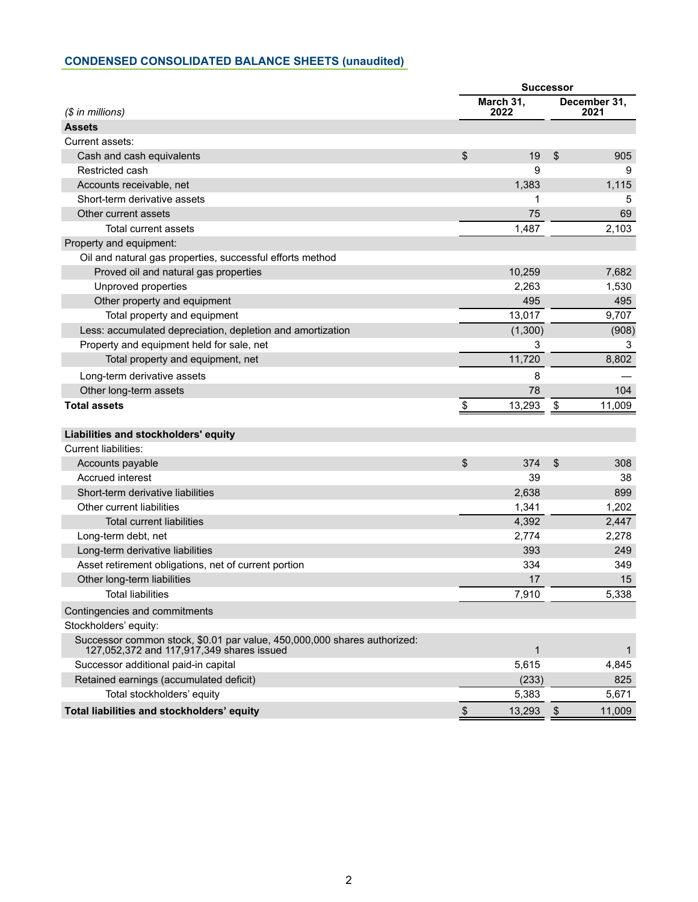## <span id="page-1-0"></span>**CONDENSED CONSOLIDATED BALANCE SHEETS (unaudited)**

|                                                                                                                       | <b>Successor</b> |                   |      |                      |
|-----------------------------------------------------------------------------------------------------------------------|------------------|-------------------|------|----------------------|
| $$$ in millions)                                                                                                      |                  | March 31,<br>2022 |      | December 31,<br>2021 |
| <b>Assets</b>                                                                                                         |                  |                   |      |                      |
| Current assets:                                                                                                       |                  |                   |      |                      |
| Cash and cash equivalents                                                                                             | \$               | 19                | \$   | 905                  |
| Restricted cash                                                                                                       |                  | 9                 |      | 9                    |
| Accounts receivable, net                                                                                              |                  | 1,383             |      | 1,115                |
| Short-term derivative assets                                                                                          |                  | 1                 |      | 5                    |
| Other current assets                                                                                                  |                  | 75                |      | 69                   |
| Total current assets                                                                                                  |                  | 1,487             |      | 2,103                |
| Property and equipment:                                                                                               |                  |                   |      |                      |
| Oil and natural gas properties, successful efforts method                                                             |                  |                   |      |                      |
| Proved oil and natural gas properties                                                                                 |                  | 10,259            |      | 7,682                |
| Unproved properties                                                                                                   |                  | 2,263             |      | 1,530                |
| Other property and equipment                                                                                          |                  | 495               |      | 495                  |
| Total property and equipment                                                                                          |                  | 13,017            |      | 9,707                |
| Less: accumulated depreciation, depletion and amortization                                                            |                  | (1,300)           |      | (908)                |
| Property and equipment held for sale, net                                                                             |                  | 3                 |      | 3                    |
| Total property and equipment, net                                                                                     |                  | 11,720            |      | 8,802                |
| Long-term derivative assets                                                                                           |                  | 8                 |      |                      |
| Other long-term assets                                                                                                |                  | 78                |      | 104                  |
| <b>Total assets</b>                                                                                                   | \$               | 13,293            | \$   | 11,009               |
| Liabilities and stockholders' equity                                                                                  |                  |                   |      |                      |
| Current liabilities:                                                                                                  |                  |                   |      |                      |
| Accounts payable                                                                                                      | \$               | 374               | \$   | 308                  |
| <b>Accrued interest</b>                                                                                               |                  | 39                |      | 38                   |
| Short-term derivative liabilities                                                                                     |                  | 2,638             |      | 899                  |
| Other current liabilities                                                                                             |                  | 1,341             |      | 1,202                |
| <b>Total current liabilities</b>                                                                                      |                  | 4,392             |      | 2,447                |
| Long-term debt, net                                                                                                   |                  | 2,774             |      | 2,278                |
| Long-term derivative liabilities                                                                                      |                  | 393               |      | 249                  |
| Asset retirement obligations, net of current portion                                                                  |                  | 334               |      | 349                  |
| Other long-term liabilities                                                                                           |                  | 17                |      | 15                   |
| <b>Total liabilities</b>                                                                                              |                  | 7,910             |      | 5,338                |
| Contingencies and commitments                                                                                         |                  |                   |      |                      |
| Stockholders' equity:                                                                                                 |                  |                   |      |                      |
| Successor common stock, \$0.01 par value, 450,000,000 shares authorized:<br>127,052,372 and 117,917,349 shares issued |                  | $\mathbf{1}$      |      | 1                    |
| Successor additional paid-in capital                                                                                  |                  | 5,615             |      | 4,845                |
| Retained earnings (accumulated deficit)                                                                               |                  | (233)             |      | 825                  |
| Total stockholders' equity                                                                                            |                  | 5,383             |      | 5,671                |
| Total liabilities and stockholders' equity                                                                            | \$               | 13,293            | - \$ | 11,009               |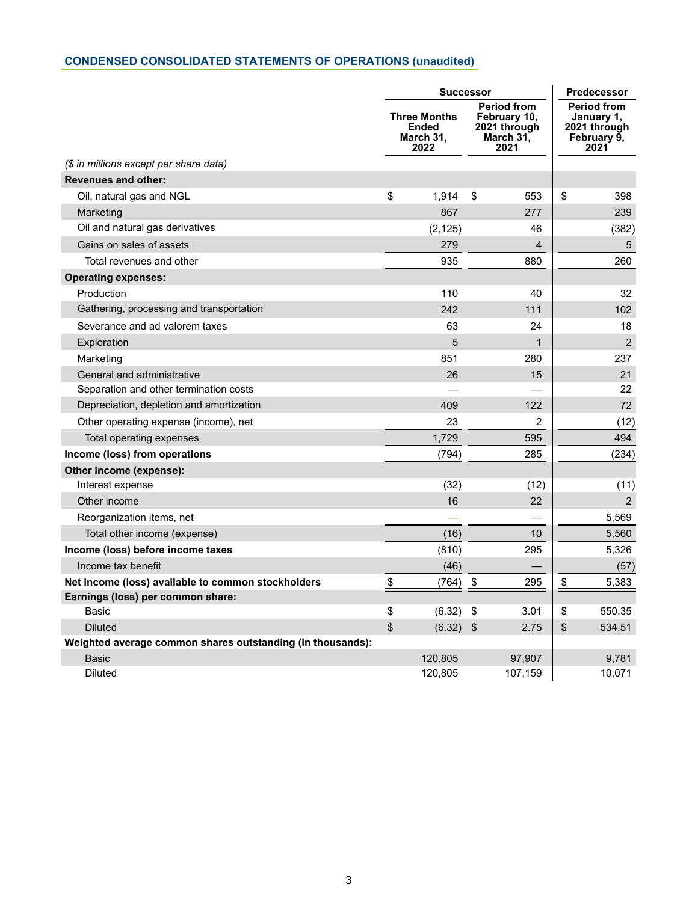# <span id="page-2-0"></span>**CONDENSED CONSOLIDATED STATEMENTS OF OPERATIONS (unaudited)**

|                                                            |                                                          | <b>Successor</b> |                                                                         |                | <b>Predecessor</b> |                                                                         |
|------------------------------------------------------------|----------------------------------------------------------|------------------|-------------------------------------------------------------------------|----------------|--------------------|-------------------------------------------------------------------------|
|                                                            | <b>Three Months</b><br><b>Ended</b><br>March 31,<br>2022 |                  | <b>Period from</b><br>February 10,<br>2021 through<br>March 31,<br>2021 |                |                    | <b>Period from</b><br>January 1,<br>2021 through<br>February 9,<br>2021 |
| (\$ in millions except per share data)                     |                                                          |                  |                                                                         |                |                    |                                                                         |
| <b>Revenues and other:</b>                                 |                                                          |                  |                                                                         |                |                    |                                                                         |
| Oil, natural gas and NGL                                   | \$                                                       | 1,914            | \$                                                                      | 553            | \$                 | 398                                                                     |
| Marketing                                                  |                                                          | 867              |                                                                         | 277            |                    | 239                                                                     |
| Oil and natural gas derivatives                            |                                                          | (2, 125)         |                                                                         | 46             |                    | (382)                                                                   |
| Gains on sales of assets                                   |                                                          | 279              |                                                                         | $\overline{4}$ |                    | 5                                                                       |
| Total revenues and other                                   |                                                          | 935              |                                                                         | 880            |                    | 260                                                                     |
| <b>Operating expenses:</b>                                 |                                                          |                  |                                                                         |                |                    |                                                                         |
| Production                                                 |                                                          | 110              |                                                                         | 40             |                    | 32                                                                      |
| Gathering, processing and transportation                   |                                                          | 242              |                                                                         | 111            |                    | 102                                                                     |
| Severance and ad valorem taxes                             |                                                          | 63               |                                                                         | 24             |                    | 18                                                                      |
| Exploration                                                |                                                          | 5                |                                                                         | $\mathbf{1}$   |                    | $\overline{2}$                                                          |
| Marketing                                                  |                                                          | 851              |                                                                         | 280            |                    | 237                                                                     |
| General and administrative                                 |                                                          | 26               |                                                                         | 15             |                    | 21                                                                      |
| Separation and other termination costs                     |                                                          |                  |                                                                         |                |                    | 22                                                                      |
| Depreciation, depletion and amortization                   |                                                          | 409              |                                                                         | 122            |                    | 72                                                                      |
| Other operating expense (income), net                      |                                                          | 23               |                                                                         | $\overline{2}$ |                    | (12)                                                                    |
| Total operating expenses                                   |                                                          | 1,729            |                                                                         | 595            |                    | 494                                                                     |
| Income (loss) from operations                              |                                                          | (794)            |                                                                         | 285            |                    | (234)                                                                   |
| Other income (expense):                                    |                                                          |                  |                                                                         |                |                    |                                                                         |
| Interest expense                                           |                                                          | (32)             |                                                                         | (12)           |                    | (11)                                                                    |
| Other income                                               |                                                          | 16               |                                                                         | 22             |                    | $\overline{2}$                                                          |
| Reorganization items, net                                  |                                                          |                  |                                                                         |                |                    | 5,569                                                                   |
| Total other income (expense)                               |                                                          | (16)             |                                                                         | 10             |                    | 5,560                                                                   |
| Income (loss) before income taxes                          |                                                          | (810)            |                                                                         | 295            |                    | 5,326                                                                   |
| Income tax benefit                                         |                                                          | (46)             |                                                                         |                |                    | (57)                                                                    |
| Net income (loss) available to common stockholders         | \$                                                       | (764)            | $\sqrt[6]{\frac{1}{2}}$                                                 | 295            | \$                 | 5,383                                                                   |
| Earnings (loss) per common share:                          |                                                          |                  |                                                                         |                |                    |                                                                         |
| <b>Basic</b>                                               | \$                                                       | (6.32)           | \$                                                                      | 3.01           | \$                 | 550.35                                                                  |
| <b>Diluted</b>                                             | \$                                                       | (6.32)           | \$                                                                      | 2.75           | \$                 | 534.51                                                                  |
| Weighted average common shares outstanding (in thousands): |                                                          |                  |                                                                         |                |                    |                                                                         |
| <b>Basic</b>                                               |                                                          | 120,805          |                                                                         | 97,907         |                    | 9,781                                                                   |
| <b>Diluted</b>                                             |                                                          | 120,805          |                                                                         | 107,159        |                    | 10,071                                                                  |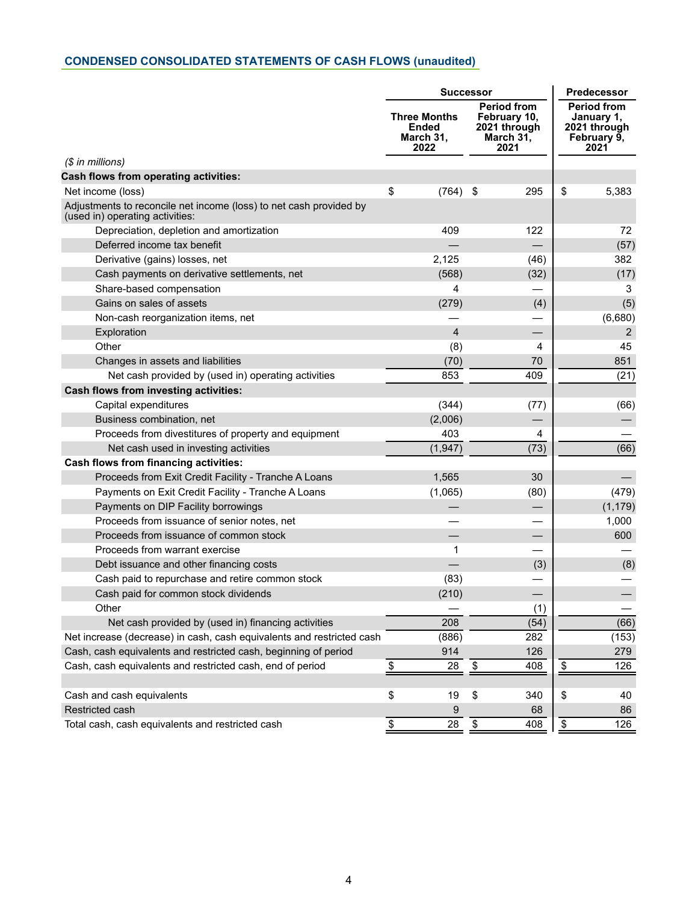# <span id="page-3-0"></span>**CONDENSED CONSOLIDATED STATEMENTS OF CASH FLOWS (unaudited)**

|                                                                                                       | <b>Successor</b>                                  | Predecessor                                                             |                                                                         |  |
|-------------------------------------------------------------------------------------------------------|---------------------------------------------------|-------------------------------------------------------------------------|-------------------------------------------------------------------------|--|
|                                                                                                       | <b>Three Months</b><br>Ended<br>March 31,<br>2022 | <b>Period from</b><br>February 10,<br>2021 through<br>March 31,<br>2021 | <b>Period from</b><br>January 1,<br>2021 through<br>February 9,<br>2021 |  |
| $$$ in millions)                                                                                      |                                                   |                                                                         |                                                                         |  |
| <b>Cash flows from operating activities:</b>                                                          |                                                   |                                                                         |                                                                         |  |
| Net income (loss)                                                                                     | \$<br>(764)                                       | 295<br>-\$                                                              | \$<br>5,383                                                             |  |
| Adjustments to reconcile net income (loss) to net cash provided by<br>(used in) operating activities: |                                                   |                                                                         |                                                                         |  |
| Depreciation, depletion and amortization                                                              | 409                                               | 122                                                                     | 72                                                                      |  |
| Deferred income tax benefit                                                                           |                                                   |                                                                         | (57)                                                                    |  |
| Derivative (gains) losses, net                                                                        | 2,125                                             | (46)                                                                    | 382                                                                     |  |
| Cash payments on derivative settlements, net                                                          | (568)                                             | (32)                                                                    | (17)                                                                    |  |
| Share-based compensation                                                                              | 4                                                 |                                                                         | 3                                                                       |  |
| Gains on sales of assets                                                                              | (279)                                             | (4)                                                                     | (5)                                                                     |  |
| Non-cash reorganization items, net                                                                    |                                                   |                                                                         | (6,680)                                                                 |  |
| Exploration                                                                                           | $\overline{4}$                                    |                                                                         | 2                                                                       |  |
| Other                                                                                                 | (8)                                               | 4                                                                       | 45                                                                      |  |
| Changes in assets and liabilities                                                                     | (70)                                              | 70                                                                      | 851                                                                     |  |
| Net cash provided by (used in) operating activities                                                   | 853                                               | 409                                                                     | (21)                                                                    |  |
| <b>Cash flows from investing activities:</b>                                                          |                                                   |                                                                         |                                                                         |  |
| Capital expenditures                                                                                  | (344)                                             | (77)                                                                    | (66)                                                                    |  |
| Business combination, net                                                                             | (2,006)                                           |                                                                         |                                                                         |  |
| Proceeds from divestitures of property and equipment                                                  | 403                                               | 4                                                                       |                                                                         |  |
| Net cash used in investing activities                                                                 | (1, 947)                                          | (73)                                                                    | (66)                                                                    |  |
| <b>Cash flows from financing activities:</b>                                                          |                                                   |                                                                         |                                                                         |  |
| Proceeds from Exit Credit Facility - Tranche A Loans                                                  | 1,565                                             | 30                                                                      |                                                                         |  |
| Payments on Exit Credit Facility - Tranche A Loans                                                    | (1,065)                                           | (80)                                                                    | (479)                                                                   |  |
| Payments on DIP Facility borrowings                                                                   |                                                   | $\overline{\phantom{0}}$                                                | (1, 179)                                                                |  |
| Proceeds from issuance of senior notes, net                                                           |                                                   |                                                                         | 1,000                                                                   |  |
| Proceeds from issuance of common stock                                                                |                                                   |                                                                         | 600                                                                     |  |
| Proceeds from warrant exercise                                                                        | 1                                                 |                                                                         |                                                                         |  |
| Debt issuance and other financing costs                                                               |                                                   | (3)                                                                     | (8)                                                                     |  |
| Cash paid to repurchase and retire common stock                                                       | (83)                                              |                                                                         |                                                                         |  |
| Cash paid for common stock dividends                                                                  | (210)                                             |                                                                         |                                                                         |  |
| Other                                                                                                 |                                                   | (1)                                                                     |                                                                         |  |
| Net cash provided by (used in) financing activities                                                   | 208                                               | (54)                                                                    | (66)                                                                    |  |
| Net increase (decrease) in cash, cash equivalents and restricted cash                                 | (886)                                             | 282                                                                     | (153)                                                                   |  |
| Cash, cash equivalents and restricted cash, beginning of period                                       | 914                                               | 126                                                                     | 279                                                                     |  |
| Cash, cash equivalents and restricted cash, end of period                                             | \$<br>28                                          | \$<br>408                                                               | \$<br>126                                                               |  |
| Cash and cash equivalents                                                                             | \$<br>19                                          | \$<br>340                                                               | \$<br>40                                                                |  |
| Restricted cash                                                                                       | 9                                                 | 68                                                                      | 86                                                                      |  |
| Total cash, cash equivalents and restricted cash                                                      | \$<br>28                                          | \$<br>408                                                               | \$<br>126                                                               |  |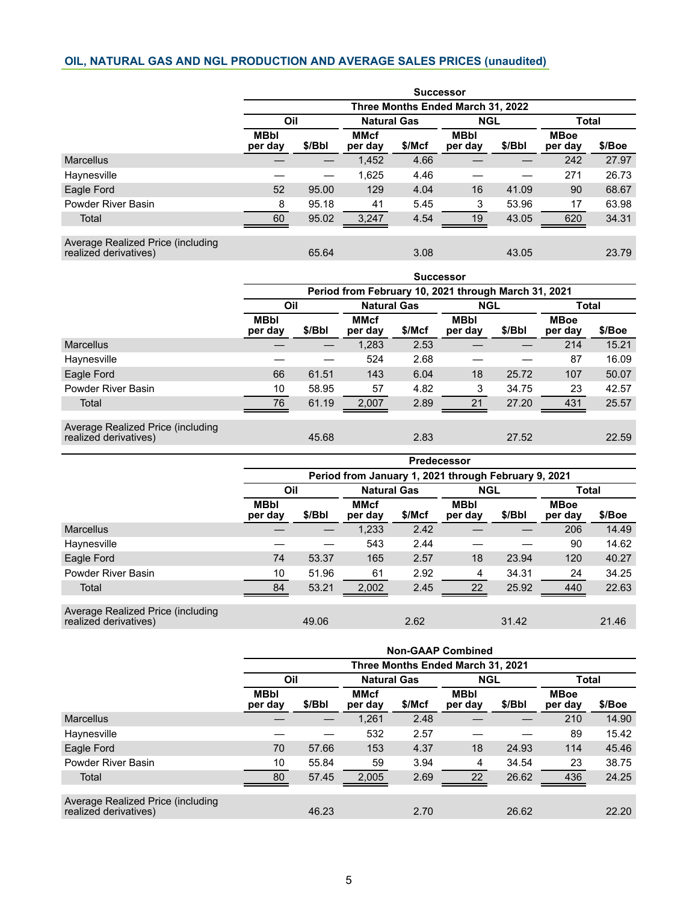### <span id="page-4-0"></span>**OIL, NATURAL GAS AND NGL PRODUCTION AND AVERAGE SALES PRICES (unaudited)**

|                                                            | <b>Successor</b>                  |        |                        |        |                        |        |                        |        |  |  |
|------------------------------------------------------------|-----------------------------------|--------|------------------------|--------|------------------------|--------|------------------------|--------|--|--|
|                                                            | Three Months Ended March 31, 2022 |        |                        |        |                        |        |                        |        |  |  |
|                                                            | Oil                               |        | <b>Natural Gas</b>     |        | <b>NGL</b>             |        | <b>Total</b>           |        |  |  |
|                                                            | <b>MBbl</b><br>per day            | \$/Bbl | <b>MMcf</b><br>per day | \$/Mcf | <b>MBbl</b><br>per day | \$/Bbl | <b>MBoe</b><br>per day | \$/Boe |  |  |
| <b>Marcellus</b>                                           |                                   |        | 1,452                  | 4.66   |                        |        | 242                    | 27.97  |  |  |
| Haynesville                                                |                                   |        | 1,625                  | 4.46   |                        |        | 271                    | 26.73  |  |  |
| Eagle Ford                                                 | 52                                | 95.00  | 129                    | 4.04   | 16                     | 41.09  | 90                     | 68.67  |  |  |
| Powder River Basin                                         | 8                                 | 95.18  | 41                     | 5.45   | 3                      | 53.96  | 17                     | 63.98  |  |  |
| Total                                                      | 60                                | 95.02  | 3,247                  | 4.54   | 19                     | 43.05  | 620                    | 34.31  |  |  |
| Average Realized Price (including<br>realized derivatives) |                                   | 65.64  |                        | 3.08   |                        | 43.05  |                        | 23.79  |  |  |

|                                                                                                                                     |                        | <b>Successor</b>                                     |                        |        |                        |        |                        |        |  |  |  |
|-------------------------------------------------------------------------------------------------------------------------------------|------------------------|------------------------------------------------------|------------------------|--------|------------------------|--------|------------------------|--------|--|--|--|
|                                                                                                                                     |                        | Period from February 10, 2021 through March 31, 2021 |                        |        |                        |        |                        |        |  |  |  |
|                                                                                                                                     | Oil                    |                                                      | <b>Natural Gas</b>     |        | <b>NGL</b>             |        | <b>Total</b>           |        |  |  |  |
|                                                                                                                                     | <b>MBbl</b><br>per day | \$/Bbl                                               | <b>MMcf</b><br>per day | \$/Mcf | <b>MBbl</b><br>per day | \$/Bbl | <b>MBoe</b><br>per day | \$/Boe |  |  |  |
| <b>Marcellus</b>                                                                                                                    |                        |                                                      | 1,283                  | 2.53   |                        |        | 214                    | 15.21  |  |  |  |
| Haynesville                                                                                                                         |                        |                                                      | 524                    | 2.68   |                        |        | 87                     | 16.09  |  |  |  |
| Eagle Ford                                                                                                                          | 66                     | 61.51                                                | 143                    | 6.04   | 18                     | 25.72  | 107                    | 50.07  |  |  |  |
| Powder River Basin                                                                                                                  | 10                     | 58.95                                                | 57                     | 4.82   | 3                      | 34.75  | 23                     | 42.57  |  |  |  |
| Total                                                                                                                               | 76                     | 61.19                                                | 2,007                  | 2.89   | 21                     | 27.20  | 431                    | 25.57  |  |  |  |
| As several $\mathbf{D}$ and $\mathbf{D}$ and $\mathbf{D}$ are at $\mathbf{D}$ and $\mathbf{D}$ are at $\mathbf{D}$ and $\mathbf{D}$ |                        |                                                      |                        |        |                        |        |                        |        |  |  |  |

Average Realized Price (including realized derivatives) 45.68 2.83 27.52 22.59

|                                                            | <b>Predecessor</b>                                   |        |                        |        |                        |        |                        |        |  |  |
|------------------------------------------------------------|------------------------------------------------------|--------|------------------------|--------|------------------------|--------|------------------------|--------|--|--|
|                                                            | Period from January 1, 2021 through February 9, 2021 |        |                        |        |                        |        |                        |        |  |  |
|                                                            | Oil                                                  |        | <b>Natural Gas</b>     |        | <b>NGL</b>             |        | <b>Total</b>           |        |  |  |
|                                                            | <b>MBbl</b><br>per day                               | \$/Bbl | <b>MMcf</b><br>per day | \$/Mcf | <b>MBbl</b><br>per day | \$/Bbl | <b>MBoe</b><br>per day | \$/Boe |  |  |
| <b>Marcellus</b>                                           |                                                      |        | 1,233                  | 2.42   |                        |        | 206                    | 14.49  |  |  |
| Haynesville                                                |                                                      |        | 543                    | 2.44   |                        |        | 90                     | 14.62  |  |  |
| Eagle Ford                                                 | 74                                                   | 53.37  | 165                    | 2.57   | 18                     | 23.94  | 120                    | 40.27  |  |  |
| Powder River Basin                                         | 10                                                   | 51.96  | 61                     | 2.92   | 4                      | 34.31  | 24                     | 34.25  |  |  |
| Total                                                      | 84                                                   | 53.21  | 2,002                  | 2.45   | 22                     | 25.92  | 440                    | 22.63  |  |  |
| Average Realized Price (including<br>realized derivatives) |                                                      | 49.06  |                        | 2.62   |                        | 31.42  |                        | 21.46  |  |  |

|                                                            | <b>Non-GAAP Combined</b>          |        |                        |        |                        |        |                        |        |  |  |  |
|------------------------------------------------------------|-----------------------------------|--------|------------------------|--------|------------------------|--------|------------------------|--------|--|--|--|
|                                                            | Three Months Ended March 31, 2021 |        |                        |        |                        |        |                        |        |  |  |  |
|                                                            | Oil                               |        | <b>Natural Gas</b>     |        | <b>NGL</b>             |        | <b>Total</b>           |        |  |  |  |
|                                                            | <b>MBbl</b><br>per day            | \$/Bbl | <b>MMcf</b><br>per day | \$/Mcf | <b>MBbl</b><br>per day | \$/Bbl | <b>MBoe</b><br>per day | \$/Boe |  |  |  |
| <b>Marcellus</b>                                           |                                   |        | 1,261                  | 2.48   |                        |        | 210                    | 14.90  |  |  |  |
| Haynesville                                                |                                   |        | 532                    | 2.57   |                        |        | 89                     | 15.42  |  |  |  |
| Eagle Ford                                                 | 70                                | 57.66  | 153                    | 4.37   | 18                     | 24.93  | 114                    | 45.46  |  |  |  |
| Powder River Basin                                         | 10                                | 55.84  | 59                     | 3.94   | 4                      | 34.54  | 23                     | 38.75  |  |  |  |
| Total                                                      | 80                                | 57.45  | 2,005                  | 2.69   | 22                     | 26.62  | 436                    | 24.25  |  |  |  |
| Average Realized Price (including<br>realized derivatives) |                                   | 46.23  |                        | 2.70   |                        | 26.62  |                        | 22.20  |  |  |  |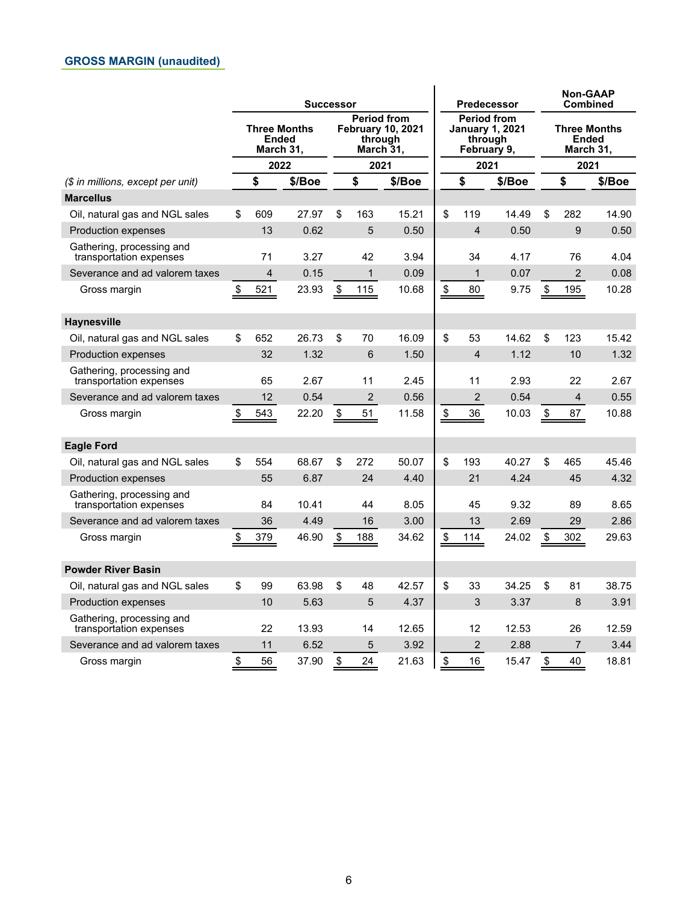<span id="page-5-0"></span>

|                                                      | <b>Successor</b>                          |      |        | <b>Predecessor</b>                                                     |                |        | <b>Non-GAAP</b><br><b>Combined</b>                                     |                |        |                           |                |                                  |  |
|------------------------------------------------------|-------------------------------------------|------|--------|------------------------------------------------------------------------|----------------|--------|------------------------------------------------------------------------|----------------|--------|---------------------------|----------------|----------------------------------|--|
|                                                      | <b>Three Months</b><br>Ended<br>March 31, |      |        | <b>Period from</b><br><b>February 10, 2021</b><br>through<br>March 31, |                |        | <b>Period from</b><br><b>January 1, 2021</b><br>through<br>February 9, |                |        |                           | Ended          | <b>Three Months</b><br>March 31, |  |
|                                                      |                                           | 2022 |        |                                                                        | 2021           |        |                                                                        | 2021           |        |                           |                | 2021                             |  |
| (\$ in millions, except per unit)                    |                                           | \$   | \$/Boe |                                                                        | \$             | \$/Boe |                                                                        | \$             | \$/Boe |                           | \$             | \$/Boe                           |  |
| <b>Marcellus</b>                                     |                                           |      |        |                                                                        |                |        |                                                                        |                |        |                           |                |                                  |  |
| Oil, natural gas and NGL sales                       | \$                                        | 609  | 27.97  | \$                                                                     | 163            | 15.21  | \$                                                                     | 119            | 14.49  | \$                        | 282            | 14.90                            |  |
| <b>Production expenses</b>                           |                                           | 13   | 0.62   |                                                                        | 5              | 0.50   |                                                                        | $\overline{4}$ | 0.50   |                           | 9              | 0.50                             |  |
| Gathering, processing and<br>transportation expenses |                                           | 71   | 3.27   |                                                                        | 42             | 3.94   |                                                                        | 34             | 4.17   |                           | 76             | 4.04                             |  |
| Severance and ad valorem taxes                       |                                           | 4    | 0.15   |                                                                        | $\mathbf{1}$   | 0.09   |                                                                        | $\mathbf{1}$   | 0.07   |                           | $\overline{2}$ | 0.08                             |  |
| Gross margin                                         | \$                                        | 521  | 23.93  | $\sqrt[6]{\frac{1}{2}}$                                                | 115            | 10.68  | $\frac{\$}{\ }$                                                        | 80             | 9.75   | \$                        | 195            | 10.28                            |  |
| <b>Haynesville</b>                                   |                                           |      |        |                                                                        |                |        |                                                                        |                |        |                           |                |                                  |  |
| Oil, natural gas and NGL sales                       | \$                                        | 652  | 26.73  | \$                                                                     | 70             | 16.09  | \$                                                                     | 53             | 14.62  | \$                        | 123            | 15.42                            |  |
| <b>Production expenses</b>                           |                                           | 32   | 1.32   |                                                                        | 6              | 1.50   |                                                                        | $\overline{4}$ | 1.12   |                           | 10             | 1.32                             |  |
| Gathering, processing and<br>transportation expenses |                                           | 65   | 2.67   |                                                                        | 11             | 2.45   |                                                                        | 11             | 2.93   |                           | 22             | 2.67                             |  |
| Severance and ad valorem taxes                       |                                           | 12   | 0.54   |                                                                        | $\overline{c}$ | 0.56   |                                                                        | 2              | 0.54   |                           | 4              | 0.55                             |  |
| Gross margin                                         | \$                                        | 543  | 22.20  | \$                                                                     | 51             | 11.58  | $\boldsymbol{\$}$                                                      | 36             | 10.03  | \$                        | 87             | 10.88                            |  |
| <b>Eagle Ford</b>                                    |                                           |      |        |                                                                        |                |        |                                                                        |                |        |                           |                |                                  |  |
| Oil, natural gas and NGL sales                       | \$                                        | 554  | 68.67  | \$                                                                     | 272            | 50.07  | \$                                                                     | 193            | 40.27  | \$                        | 465            | 45.46                            |  |
| <b>Production expenses</b>                           |                                           | 55   | 6.87   |                                                                        | 24             | 4.40   |                                                                        | 21             | 4.24   |                           | 45             | 4.32                             |  |
| Gathering, processing and<br>transportation expenses |                                           | 84   | 10.41  |                                                                        | 44             | 8.05   |                                                                        | 45             | 9.32   |                           | 89             | 8.65                             |  |
| Severance and ad valorem taxes                       |                                           | 36   | 4.49   |                                                                        | 16             | 3.00   |                                                                        | 13             | 2.69   |                           | 29             | 2.86                             |  |
| Gross margin                                         | \$                                        | 379  | 46.90  | \$                                                                     | 188            | 34.62  | \$                                                                     | 114            | 24.02  | $\boldsymbol{\mathsf{S}}$ | 302            | 29.63                            |  |
| <b>Powder River Basin</b>                            |                                           |      |        |                                                                        |                |        |                                                                        |                |        |                           |                |                                  |  |
| Oil, natural gas and NGL sales                       | \$                                        | 99   | 63.98  | \$                                                                     | 48             | 42.57  | \$                                                                     | 33             | 34.25  | \$                        | 81             | 38.75                            |  |
| <b>Production expenses</b>                           |                                           | 10   | 5.63   |                                                                        | 5              | 4.37   |                                                                        | 3              | 3.37   |                           | 8              | 3.91                             |  |
| Gathering, processing and<br>transportation expenses |                                           | 22   | 13.93  |                                                                        | 14             | 12.65  |                                                                        | 12             | 12.53  |                           | 26             | 12.59                            |  |
| Severance and ad valorem taxes                       |                                           | 11   | 6.52   |                                                                        | 5              | 3.92   |                                                                        | $\overline{2}$ | 2.88   |                           | $\overline{7}$ | 3.44                             |  |
| Gross margin                                         | \$                                        | 56   | 37.90  | \$                                                                     | 24             | 21.63  | \$                                                                     | 16             | 15.47  | \$                        | 40             | 18.81                            |  |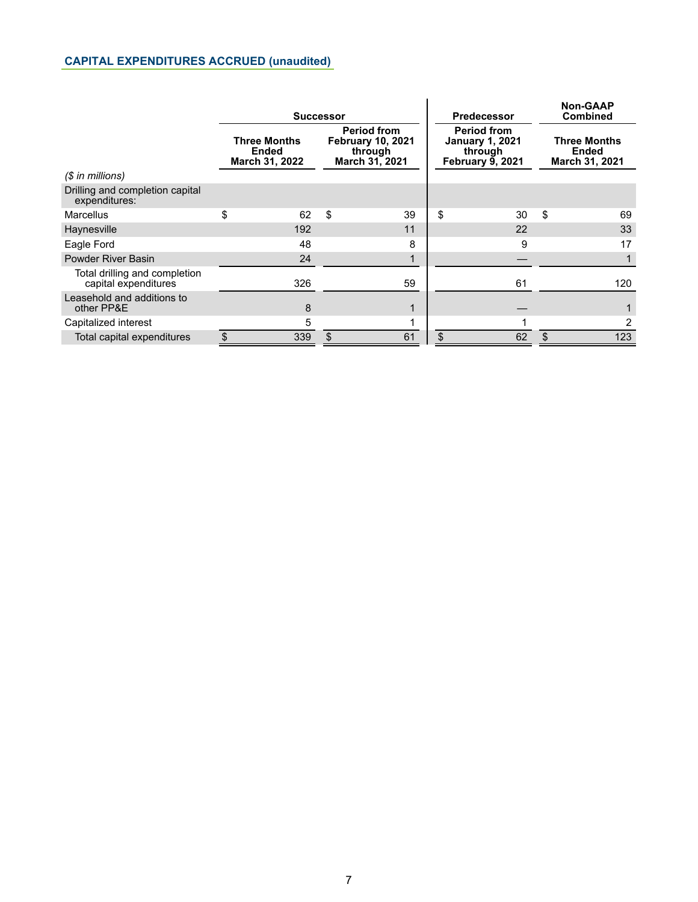## <span id="page-6-0"></span>**CAPITAL EXPENDITURES ACCRUED (unaudited)**

|                                                       |                                                       |     | <b>Successor</b> |                                                                             |                                                                                    | <b>Predecessor</b> | <b>Non-GAAP</b><br><b>Combined</b>             |     |
|-------------------------------------------------------|-------------------------------------------------------|-----|------------------|-----------------------------------------------------------------------------|------------------------------------------------------------------------------------|--------------------|------------------------------------------------|-----|
|                                                       | <b>Three Months</b><br><b>Ended</b><br>March 31, 2022 |     |                  | <b>Period from</b><br><b>February 10, 2021</b><br>through<br>March 31, 2021 | <b>Period from</b><br><b>January 1, 2021</b><br>through<br><b>February 9, 2021</b> |                    | <b>Three Months</b><br>Ended<br>March 31, 2021 |     |
| $$$ in millions)                                      |                                                       |     |                  |                                                                             |                                                                                    |                    |                                                |     |
| Drilling and completion capital<br>expenditures:      |                                                       |     |                  |                                                                             |                                                                                    |                    |                                                |     |
| Marcellus                                             | \$                                                    | 62  | \$               | 39                                                                          | \$                                                                                 | 30                 | \$                                             | 69  |
| Haynesville                                           |                                                       | 192 |                  | 11                                                                          |                                                                                    | 22                 |                                                | 33  |
| Eagle Ford                                            |                                                       | 48  |                  | 8                                                                           |                                                                                    | 9                  |                                                | 17  |
| Powder River Basin                                    |                                                       | 24  |                  |                                                                             |                                                                                    |                    |                                                |     |
| Total drilling and completion<br>capital expenditures |                                                       | 326 |                  | 59                                                                          |                                                                                    | 61                 |                                                | 120 |
| Leasehold and additions to<br>other PP&E              |                                                       | 8   |                  |                                                                             |                                                                                    |                    |                                                |     |
| Capitalized interest                                  |                                                       | 5   |                  |                                                                             |                                                                                    |                    |                                                | 2   |
| Total capital expenditures                            | \$                                                    | 339 | \$               | 61                                                                          | \$                                                                                 | 62                 | \$                                             | 123 |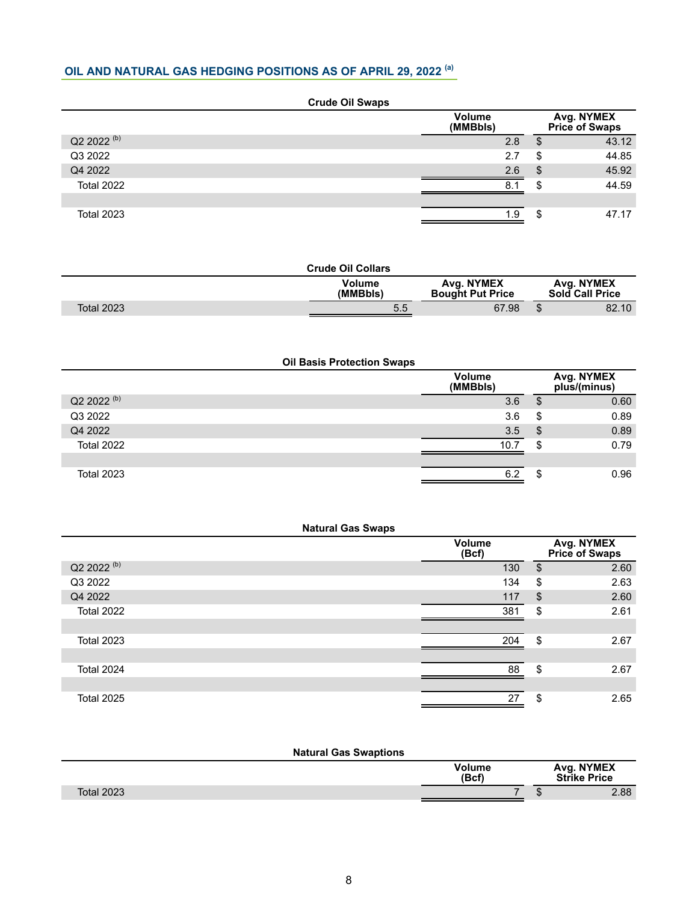## <span id="page-7-0"></span>**OIL AND NATURAL GAS HEDGING POSITIONS AS OF APRIL 29, 2022 (a)**

| <b>Crude Oil Swaps</b> |                           |    |                                     |  |  |  |  |  |  |  |
|------------------------|---------------------------|----|-------------------------------------|--|--|--|--|--|--|--|
|                        | <b>Volume</b><br>(MMBbls) |    | Avg. NYMEX<br><b>Price of Swaps</b> |  |  |  |  |  |  |  |
| Q2 2022 <sup>(b)</sup> | 2.8                       | S. | 43.12                               |  |  |  |  |  |  |  |
| Q3 2022                | 2.7                       | \$ | 44.85                               |  |  |  |  |  |  |  |
| Q4 2022                | 2.6                       | \$ | 45.92                               |  |  |  |  |  |  |  |
| <b>Total 2022</b>      | 8.1                       | \$ | 44.59                               |  |  |  |  |  |  |  |
|                        |                           |    |                                     |  |  |  |  |  |  |  |
| <b>Total 2023</b>      | 19                        | \$ | 47.17                               |  |  |  |  |  |  |  |

|                   | <b>Crude Oil Collars</b>  |                                       |                                      |
|-------------------|---------------------------|---------------------------------------|--------------------------------------|
|                   | <b>Volume</b><br>(MMBbls) | Avg. NYMEX<br><b>Bought Put Price</b> | Avg. NYMEX<br><b>Sold Call Price</b> |
| <b>Total 2023</b> | 5.5                       | 67.98                                 | \$<br>82.10                          |

| <b>Oil Basis Protection Swaps</b> |  |                           |     |                            |  |  |  |
|-----------------------------------|--|---------------------------|-----|----------------------------|--|--|--|
|                                   |  | <b>Volume</b><br>(MMBbls) |     | Avg. NYMEX<br>plus/(minus) |  |  |  |
| Q2 2022 <sup>(b)</sup>            |  | 3.6                       | S   | 0.60                       |  |  |  |
| Q3 2022                           |  | 3.6                       | \$  | 0.89                       |  |  |  |
| Q4 2022                           |  | 3.5                       | -\$ | 0.89                       |  |  |  |
| <b>Total 2022</b>                 |  | 10.7                      | \$  | 0.79                       |  |  |  |
|                                   |  |                           |     |                            |  |  |  |
| <b>Total 2023</b>                 |  | 6.2                       | S   | 0.96                       |  |  |  |

| <b>Natural Gas Swaps</b> |                        |                              |      |  |  |  |  |
|--------------------------|------------------------|------------------------------|------|--|--|--|--|
|                          | <b>Volume</b><br>(Bcf) | Avg. NYMEX<br>Price of Swaps |      |  |  |  |  |
| Q2 2022 <sup>(b)</sup>   | 130                    | \$                           | 2.60 |  |  |  |  |
| Q3 2022                  | 134                    | \$                           | 2.63 |  |  |  |  |
| Q4 2022                  | 117                    | $\boldsymbol{\mathsf{S}}$    | 2.60 |  |  |  |  |
| Total 2022               | 381                    | \$                           | 2.61 |  |  |  |  |
|                          |                        |                              |      |  |  |  |  |
| <b>Total 2023</b>        | 204                    | \$                           | 2.67 |  |  |  |  |
|                          |                        |                              |      |  |  |  |  |
| Total 2024               | 88                     | \$                           | 2.67 |  |  |  |  |
|                          |                        |                              |      |  |  |  |  |
| <b>Total 2025</b>        | 27                     | \$                           | 2.65 |  |  |  |  |
|                          |                        |                              |      |  |  |  |  |

| <b>Natural Gas Swaptions</b> |                        |                                    |
|------------------------------|------------------------|------------------------------------|
|                              | <b>Volume</b><br>(Bcf) | <b>Avg. NYMEX<br/>Strike Price</b> |
| <b>Total 2023</b>            |                        | 2.88<br>ъĐ.                        |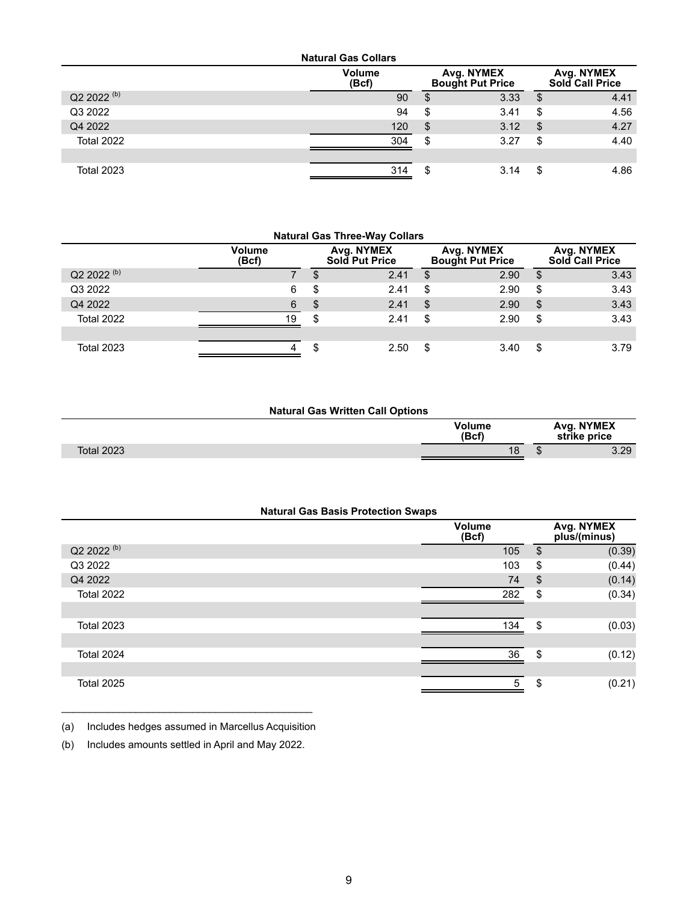| <b>Natural Gas Collars</b> |                        |                                       |    |                                      |  |  |  |  |
|----------------------------|------------------------|---------------------------------------|----|--------------------------------------|--|--|--|--|
|                            | <b>Volume</b><br>(Bcf) | Avg. NYMEX<br><b>Bought Put Price</b> |    | Avg. NYMEX<br><b>Sold Call Price</b> |  |  |  |  |
| Q2 2022 <sup>(b)</sup>     | 90                     | 3.33<br>\$                            | \$ | 4.41                                 |  |  |  |  |
| Q3 2022                    | 94                     | \$<br>3.41                            | \$ | 4.56                                 |  |  |  |  |
| Q4 2022                    | 120                    | -\$<br>3.12                           | \$ | 4.27                                 |  |  |  |  |
| <b>Total 2022</b>          | 304                    | \$<br>3.27                            | \$ | 4.40                                 |  |  |  |  |
|                            |                        |                                       |    |                                      |  |  |  |  |
| <b>Total 2023</b>          | 314                    | \$<br>3.14                            | \$ | 4.86                                 |  |  |  |  |

| <b>Natural Gas Three-Way Collars</b> |                        |                              |      |                                       |      |    |                                      |
|--------------------------------------|------------------------|------------------------------|------|---------------------------------------|------|----|--------------------------------------|
|                                      | <b>Volume</b><br>(Bcf) | Avg. NYMEX<br>Sold Put Price |      | Avg. NYMEX<br><b>Bought Put Price</b> |      |    | Avg. NYMEX<br><b>Sold Call Price</b> |
| Q2 2022 <sup>(b)</sup>               |                        | S                            | 2.41 | \$                                    | 2.90 | \$ | 3.43                                 |
| Q3 2022                              | 6                      | \$                           | 2.41 | \$                                    | 2.90 | \$ | 3.43                                 |
| Q4 2022                              | 6                      | \$                           | 2.41 | \$                                    | 2.90 | \$ | 3.43                                 |
| <b>Total 2022</b>                    | 19                     | \$                           | 2.41 | \$                                    | 2.90 | \$ | 3.43                                 |
|                                      |                        |                              |      |                                       |      |    |                                      |
| <b>Total 2023</b>                    |                        | \$                           | 2.50 | \$                                    | 3.40 | \$ | 3.79                                 |

|                   | <b>Natural Gas Written Call Options</b> |               |      |                            |
|-------------------|-----------------------------------------|---------------|------|----------------------------|
|                   | (Bcf)                                   | <b>Volume</b> |      | Avg. NYMEX<br>strike price |
| <b>Total 2023</b> |                                         | 18            | - 13 | 3.29                       |
|                   |                                         |               |      |                            |

| <b>Natural Gas Basis Protection Swaps</b> |  |                        |                       |                            |  |  |  |
|-------------------------------------------|--|------------------------|-----------------------|----------------------------|--|--|--|
|                                           |  | <b>Volume</b><br>(Bcf) |                       | Avg. NYMEX<br>plus/(minus) |  |  |  |
| Q2 2022 <sup>(b)</sup>                    |  | 105                    | $\sqrt[6]{2}$         | (0.39)                     |  |  |  |
| Q3 2022                                   |  | 103                    | \$                    | (0.44)                     |  |  |  |
| Q4 2022                                   |  | 74                     | $\boldsymbol{\theta}$ | (0.14)                     |  |  |  |
| <b>Total 2022</b>                         |  | 282                    | \$                    | (0.34)                     |  |  |  |
|                                           |  |                        |                       |                            |  |  |  |
| <b>Total 2023</b>                         |  | 134                    | \$                    | (0.03)                     |  |  |  |
|                                           |  |                        |                       |                            |  |  |  |
| Total 2024                                |  | 36                     | \$                    | (0.12)                     |  |  |  |
|                                           |  |                        |                       |                            |  |  |  |
| <b>Total 2025</b>                         |  | 5                      | \$                    | (0.21)                     |  |  |  |

 $\mathcal{L}_\text{max}$  , and the set of the set of the set of the set of the set of the set of the set of the set of the set of the set of the set of the set of the set of the set of the set of the set of the set of the set of the (a) Includes hedges assumed in Marcellus Acquisition

(b) Includes amounts settled in April and May 2022.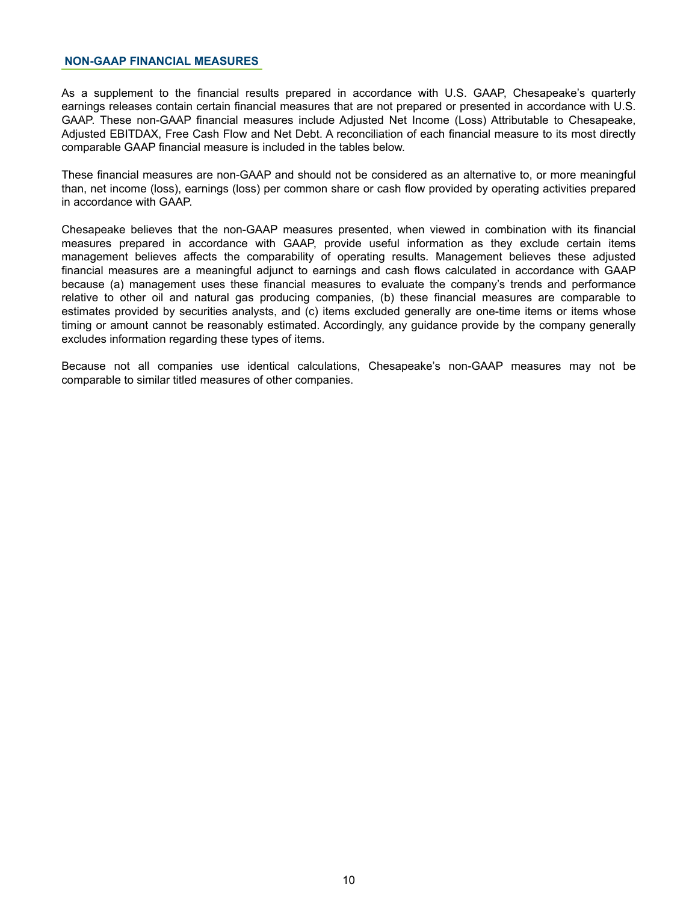#### <span id="page-9-0"></span>**NON-GAAP FINANCIAL MEASURES**

As a supplement to the financial results prepared in accordance with U.S. GAAP, Chesapeake's quarterly earnings releases contain certain financial measures that are not prepared or presented in accordance with U.S. GAAP. These non-GAAP financial measures include Adjusted Net Income (Loss) Attributable to Chesapeake, Adjusted EBITDAX, Free Cash Flow and Net Debt. A reconciliation of each financial measure to its most directly comparable GAAP financial measure is included in the tables below.

These financial measures are non-GAAP and should not be considered as an alternative to, or more meaningful than, net income (loss), earnings (loss) per common share or cash flow provided by operating activities prepared in accordance with GAAP.

Chesapeake believes that the non-GAAP measures presented, when viewed in combination with its financial measures prepared in accordance with GAAP, provide useful information as they exclude certain items management believes affects the comparability of operating results. Management believes these adjusted financial measures are a meaningful adjunct to earnings and cash flows calculated in accordance with GAAP because (a) management uses these financial measures to evaluate the company's trends and performance relative to other oil and natural gas producing companies, (b) these financial measures are comparable to estimates provided by securities analysts, and (c) items excluded generally are one-time items or items whose timing or amount cannot be reasonably estimated. Accordingly, any guidance provide by the company generally excludes information regarding these types of items.

Because not all companies use identical calculations, Chesapeake's non-GAAP measures may not be comparable to similar titled measures of other companies.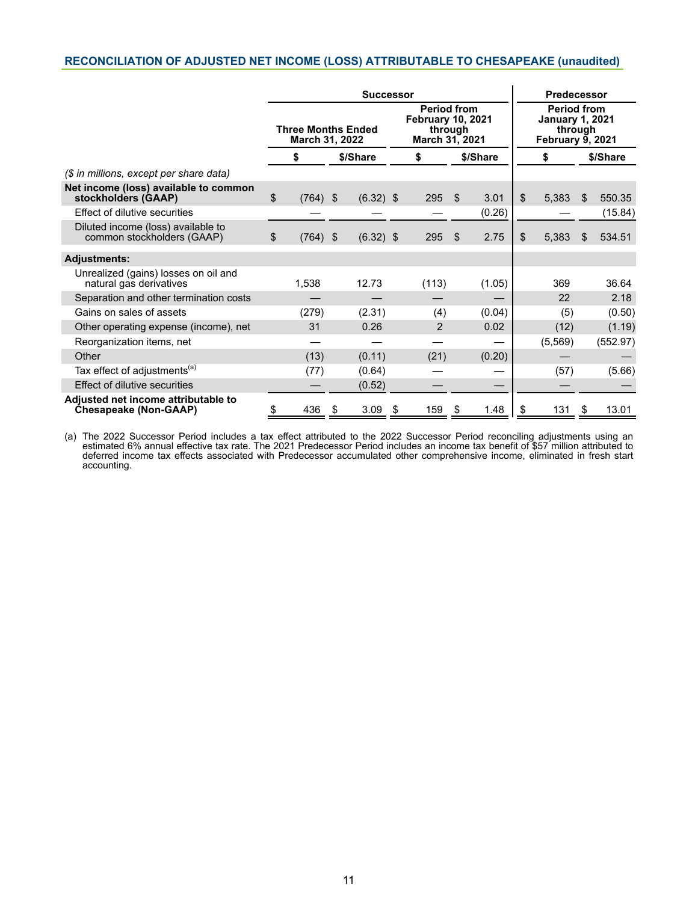#### <span id="page-10-0"></span>**RECONCILIATION OF ADJUSTED NET INCOME (LOSS) ATTRIBUTABLE TO CHESAPEAKE (unaudited)**

|                                                                     | <b>Successor</b>                            |            |    |             |                                                                             |                |                                                                                    | <b>Predecessor</b> |    |          |     |          |
|---------------------------------------------------------------------|---------------------------------------------|------------|----|-------------|-----------------------------------------------------------------------------|----------------|------------------------------------------------------------------------------------|--------------------|----|----------|-----|----------|
|                                                                     | <b>Three Months Ended</b><br>March 31, 2022 |            |    |             | <b>Period from</b><br><b>February 10, 2021</b><br>through<br>March 31, 2021 |                | <b>Period from</b><br><b>January 1, 2021</b><br>through<br><b>February 9, 2021</b> |                    |    |          |     |          |
|                                                                     |                                             | \$         |    | \$/Share    |                                                                             | \$             |                                                                                    | \$/Share           |    | \$       |     | \$/Share |
| (\$ in millions, except per share data)                             |                                             |            |    |             |                                                                             |                |                                                                                    |                    |    |          |     |          |
| Net income (loss) available to common<br>stockholders (GAAP)        | \$                                          | $(764)$ \$ |    | $(6.32)$ \$ |                                                                             | 295            | \$                                                                                 | 3.01               | \$ | 5,383    | \$. | 550.35   |
| Effect of dilutive securities                                       |                                             |            |    |             |                                                                             |                |                                                                                    | (0.26)             |    |          |     | (15.84)  |
| Diluted income (loss) available to<br>common stockholders (GAAP)    | $\sqrt[6]{\frac{1}{2}}$                     | $(764)$ \$ |    | $(6.32)$ \$ |                                                                             | 295            | \$                                                                                 | 2.75               | \$ | 5,383    | \$. | 534.51   |
| <b>Adjustments:</b>                                                 |                                             |            |    |             |                                                                             |                |                                                                                    |                    |    |          |     |          |
| Unrealized (gains) losses on oil and<br>natural gas derivatives     |                                             | 1,538      |    | 12.73       |                                                                             | (113)          |                                                                                    | (1.05)             |    | 369      |     | 36.64    |
| Separation and other termination costs                              |                                             |            |    |             |                                                                             |                |                                                                                    |                    |    | 22       |     | 2.18     |
| Gains on sales of assets                                            |                                             | (279)      |    | (2.31)      |                                                                             | (4)            |                                                                                    | (0.04)             |    | (5)      |     | (0.50)   |
| Other operating expense (income), net                               |                                             | 31         |    | 0.26        |                                                                             | $\overline{2}$ |                                                                                    | 0.02               |    | (12)     |     | (1.19)   |
| Reorganization items, net                                           |                                             |            |    |             |                                                                             |                |                                                                                    |                    |    | (5, 569) |     | (552.97) |
| Other                                                               |                                             | (13)       |    | (0.11)      |                                                                             | (21)           |                                                                                    | (0.20)             |    |          |     |          |
| Tax effect of adjustments <sup>(a)</sup>                            |                                             | (77)       |    | (0.64)      |                                                                             |                |                                                                                    |                    |    | (57)     |     | (5.66)   |
| Effect of dilutive securities                                       |                                             |            |    | (0.52)      |                                                                             |                |                                                                                    |                    |    |          |     |          |
| Adjusted net income attributable to<br><b>Chesapeake (Non-GAAP)</b> | \$                                          | 436        | \$ | 3.09        | - \$                                                                        | 159            | \$                                                                                 | 1.48               | \$ | 131      | \$  | 13.01    |

(a) The 2022 Successor Period includes a tax effect attributed to the 2022 Successor Period reconciling adjustments using an estimated 6% annual effective tax rate. The 2021 Predecessor Period includes an income tax benefit of \$57 million attributed to deferred income tax effects associated with Predecessor accumulated other comprehensive income, eliminated in fresh start accounting.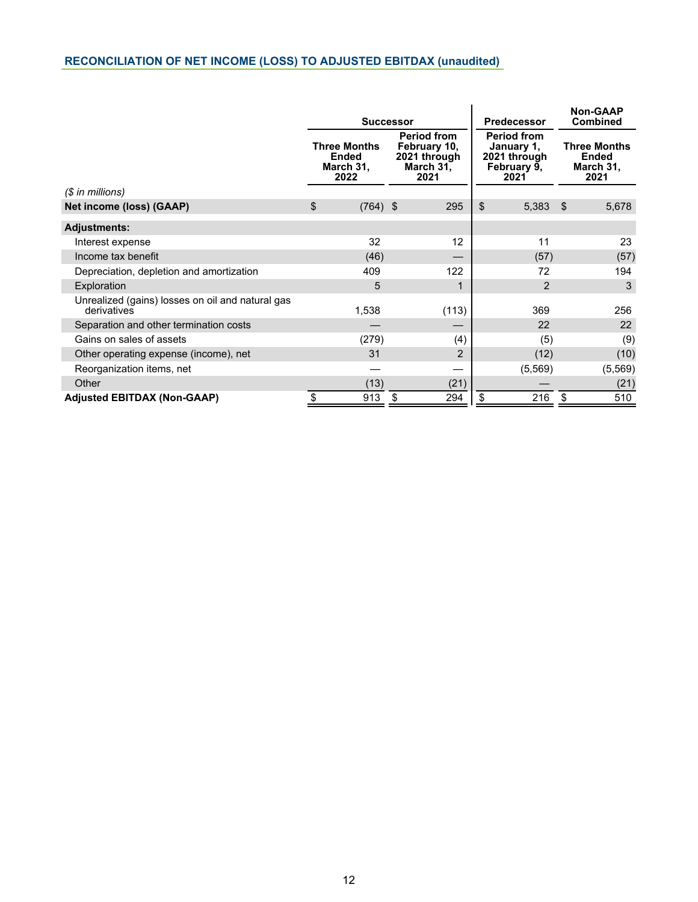# <span id="page-11-0"></span>**RECONCILIATION OF NET INCOME (LOSS) TO ADJUSTED EBITDAX (unaudited)**

|                                                                 |                                                          | <b>Successor</b>                                                                                                                                   | <b>Predecessor</b> | <b>Non-GAAP</b><br><b>Combined</b>                       |
|-----------------------------------------------------------------|----------------------------------------------------------|----------------------------------------------------------------------------------------------------------------------------------------------------|--------------------|----------------------------------------------------------|
|                                                                 | <b>Three Months</b><br><b>Ended</b><br>March 31,<br>2022 | <b>Period from</b><br><b>Period from</b><br>February 10,<br>January 1,<br>2021 through<br>2021 through<br>March 31,<br>February 9,<br>2021<br>2021 |                    | <b>Three Months</b><br><b>Ended</b><br>March 31,<br>2021 |
| $($$ in millions)                                               |                                                          |                                                                                                                                                    |                    |                                                          |
| Net income (loss) (GAAP)                                        | \$<br>$(764)$ \$                                         | 295                                                                                                                                                | \$<br>5,383        | 5,678<br>-\$                                             |
| <b>Adjustments:</b>                                             |                                                          |                                                                                                                                                    |                    |                                                          |
| Interest expense                                                | 32                                                       | $12 \overline{ }$                                                                                                                                  | 11                 | 23                                                       |
| Income tax benefit                                              | (46)                                                     |                                                                                                                                                    | (57)               | (57)                                                     |
| Depreciation, depletion and amortization                        | 409                                                      | 122                                                                                                                                                | 72                 | 194                                                      |
| Exploration                                                     | 5                                                        |                                                                                                                                                    | $\overline{2}$     | 3                                                        |
| Unrealized (gains) losses on oil and natural gas<br>derivatives | 1,538                                                    | (113)                                                                                                                                              | 369                | 256                                                      |
| Separation and other termination costs                          |                                                          |                                                                                                                                                    | 22                 | 22                                                       |
| Gains on sales of assets                                        | (279)                                                    | (4)                                                                                                                                                | (5)                | (9)                                                      |
| Other operating expense (income), net                           | 31                                                       | 2                                                                                                                                                  | (12)               | (10)                                                     |
| Reorganization items, net                                       |                                                          |                                                                                                                                                    | (5, 569)           | (5, 569)                                                 |
| Other                                                           | (13)                                                     | (21)                                                                                                                                               |                    | (21)                                                     |
| <b>Adjusted EBITDAX (Non-GAAP)</b>                              | 913<br>S                                                 | 294<br>\$                                                                                                                                          | 216<br>S           | 510<br>\$                                                |